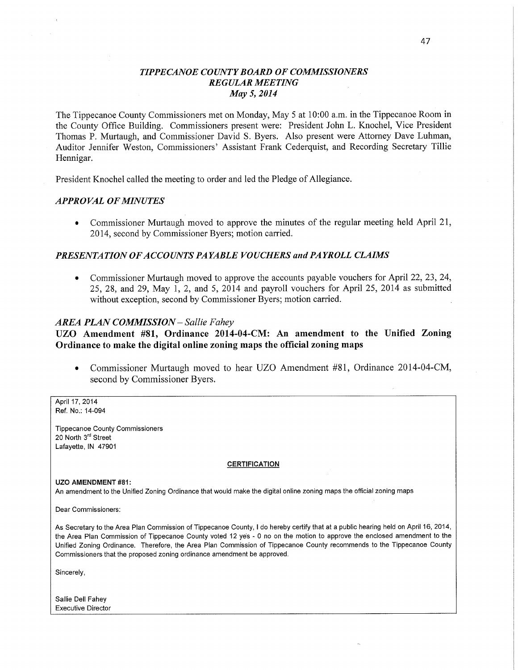# *TIPPECANOE COUNTY BOARD* OF *COMMISSIONERS REGULAR MEETING*  May 5, *2014*

The Tippecanoe County Commissioners met on Monday, May 5 at **10:00** am. in the Tippecanoe Room in the County Office Building. Commissioners present were: President John L. Knochel, Vice President Thomas P. Murtaugh, and Commissioner **David** S. Byers. Also present were Attorney Dave Luhman, Auditor Jennifer Weston, Commissioners' Assistant **Frank** Cederquist, and Recording Secretary Tillie **Hennigar.** 

President Knochel called the meeting to order and led the Pledge of **Allegiance.** 

# *APPROVAL* OF *MINUTES*

*0* Commissioner Murtaugh- moved to approve the **minutes** of the regular meeting held April 21, 2014, second by Commissioner Byers; motion carried.

#### *PRESENTATION OFACCO UNTS PAYABLE VOUCHERS* and PA *YROLL CLAIMS*

**0** Commissioner Murtaugh moved to approve the accounts payable vouchers for April 22, 23, 24, 25, 28, and 29, May 1, 2, and 5, 2014 and payroll vouchers for **April** 25, 2014 as submitted without exception, second by **Commissioner** Byers; motion carried.

#### *AREA PLAN COMMISSION* — *Sallie Fahey*

UZO **Amendment** #81, Ordinance **2014-04-CM:** An amendment to the Unified **Zoning Ordinance** to **make** the **digital** online **zoning maps** the **official zoning** maps

**0** Commissioner Murtaugh moved to hear UZO **Amendment** #81, Ordinance 2014-04-CM, second by Commissioner Byers.

April 17, 2014 Ref. **No.:** 14-094

**Tippecanoe County Commissioners**  20 **North** 3'" **Street**  Lafayette. IN **47901** 

#### **CERTIFICATION**

UZO AMENDMENT **#81:** 

An amendment to the Unified Zoning **Ordinance that** would make the **digital** onllne zoning **maps** the official zoning maps

Dear **Commissioners:** 

As Secretary to the Area Plan **Commission** of **Tippecanoe County.** I do **hereby** certify **that** at **a public hearing held** on April 16. 2014, the Area Plan **Commission** of **Tippecanoe** County voted 12 **ye's** - 0 no on the **motion** to approve the enclosed **amendment** to the Unified Zoning Ordinance. Therefore. the Area Plan **Commission** of **Tippecanoe County recommends** to the **Tippecanoe** County **Commissioners that** the proposed zoning ordinance **amendment** be **approved.** 

Sincerely,

Sallie Dell **Fahey**  Executive Director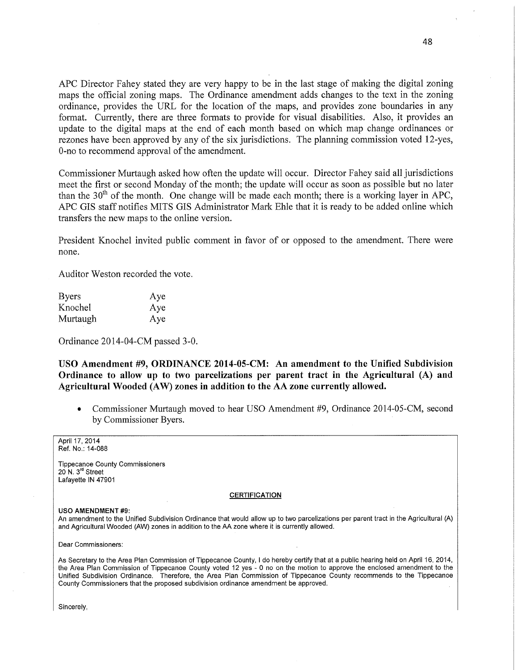AFC Director Fahey stated they are very happy to be in the last stage of making the digital zoning maps the official zoning maps. The Ordinance amendment adds changes to the text in the zoning ordinance, provides the URL for the location of the maps, and provides zone boundaries in any format. Currently, there are three formats to provide for visual disabilities. Also, it provides an update to the digital maps at the end of each month based on which map change ordinances or rezones have been approved by any of the six jurisdictions. The planning commission voted 12-yes, O-no to recommend approval of the amendment.

Commissioner Murtaugh asked how often the update will occur. Director Fahey said all jurisdictions meet the first or second Monday of the month; the update will occur as soon as possible but no later than the  $30<sup>th</sup>$  of the month. One change will be made each month; there is a working layer in APC, APC GIS staff notifies MITS GIS Administrator Mark Ehle that it is ready to be added online which transfers the new maps to the online version.

President Knochel invited public comment in favor of or opposed to the amendment. There were none.

Auditor Weston recorded the vote.

| <b>Byers</b> | Aye |
|--------------|-----|
| Knochel      | Aye |
| Murtaugh     | Aye |

Ordinance 2014-04-CM passed 3-0.

USO **Amendment** #9, **ORDINANCE 2014-05-CM:** An **amendment** to the **Unified** Subdivision Ordinance to allow up to two parcelizations per **parent tract** in the Agricultural (A) and Agricultural **Wooded** (AW) **zones** in **addition** to the AA **zone currently allowed.** 

**0** Commissioner Murtaugh moved to hear USO Amendment #9, Ordinance 2014-05-CM, second by Commissioner Byers. '

April 17, 2014 Ref. No.: 14-088

**Tippecanoe** County **Commissioners**  20 N. 3<sup>rd</sup> Street Lafayette IN 47901

#### **CERTIFICATION**

#### USO AMENDMENT #9:

An amendment to the Unified Subdivision Ordinance that would allow up to two parcelizations per parent **tract** in the Agricultural (A) and Agricultural Wooded (AW) zones in addition to the AA zone where it is currently allowed.

Dear **Commissioners:** 

As Secretary to the Area Plan **Commission** of **Tippecanoe** County. I do **hereby** certify that at *a* public hearing held on April 16. 2014, the Area Plan **Commission** of Tippecanoe **County** voted 12 yes *-* 0 no on the motion to approve the enclosed **amendment** to the Unified Subdivision **Ordinance. Therefore.** the Area Plan **Commission** of **Tippecanoe** County recommends to the **Tippecanoe Coumy Commissioners that** the proposed subdivision ordinance amendment be approved.

Sincerely,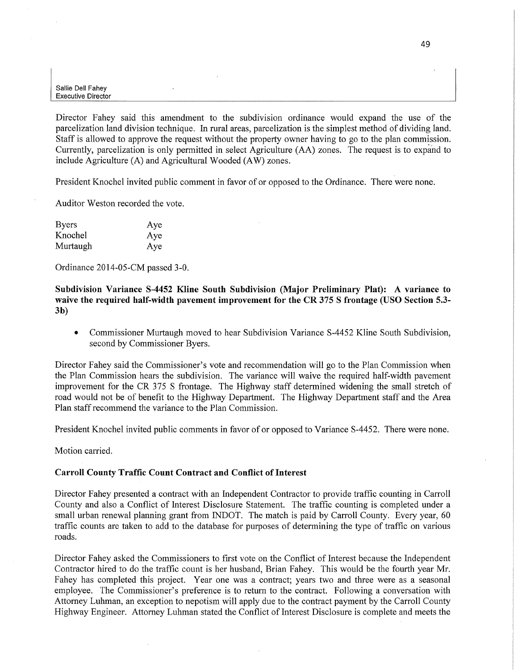Director Fahey said this amendment to the subdivision ordinance would expand the use of the parcelization land division technique. In rural areas, parcelization is the simplest method of dividing land. Staff is allowed to approve the request Without the property owner having to go to the plan commission. Currently, parcelization is only permitted in select Agriculture (AA) zones. The request is to expand to include Agriculture (A) and Agricultural Wooded (AW) zones.

President Knochel invited public comment in favor of or opposed to the Ordinance. There were none.

Auditor Weston recorded the vote.

| <b>Byers</b> | Aye |
|--------------|-----|
| Knochel      | Aye |
| Murtaugh     | Aye |

Ordinance 2014-05-CM passed 3-0.

Subdivision **Variance S-4452** Kline **South** Subdivision **(Major Preliminary Plat): A variance** to **waive** the **required** half-width **pavement improvement** for the CR 375 **S frontage (USO** Section **5.3-**  3b)

**0** Commissioner Murtaugh moved to hear Subdivision Variance S-4452 Kline South Subdivision, second by Commissioner Byers.

Director Fahey said the Commissioner's vote and recommendation will go to the **Plan** Commission when the Plan Commission hears the subdivision. The variance will waive the required half-width pavemen<sup>t</sup> improvement for the CR 375 **S** frontage. The Highway staff determined widening the small stretch of road would not be of benefit to the Highway Department. The Highway Department staff and the Area Plan staff recommend the variance to the Plan Commission.

President Knochel invited public comments in favor of or opposed to Variance 8-4452. There were none.

Motion carried.

### **Carroll County Traffic** Count **Contract** and Conflict of **Interest**

Director Fahey presented a contract with an Independent Contractor to provide traffic counting in Carroll County and also a Conflict of Interest Disclosure Statement. The traffic counting is completed under <sup>a</sup> small urban renewal planning grant from INDOT. The match is paid by Carroll County. Every year, 60 traffic counts are taken to add to the database for purposes of determining the type of traffic on various roads.

Director Fahey asked the Commissioners to **first** vote on the Conflict of Interest because the Independent Contractor hired to do the traffic count is her husband, Brian Fahey. This would be the fourth year Mr. Fahey has completed this project. Year one was a contract; years two and three were as a seasonal employee. The Commissioner's preference is to return to the contract. Following a conversation with Attorney Luhman, an exception to nepotism will apply due to the contract payment by the Carroll County Highway Engineer. Attorney Luhman stated the Conflict of Interest Disclosure is complete and meets the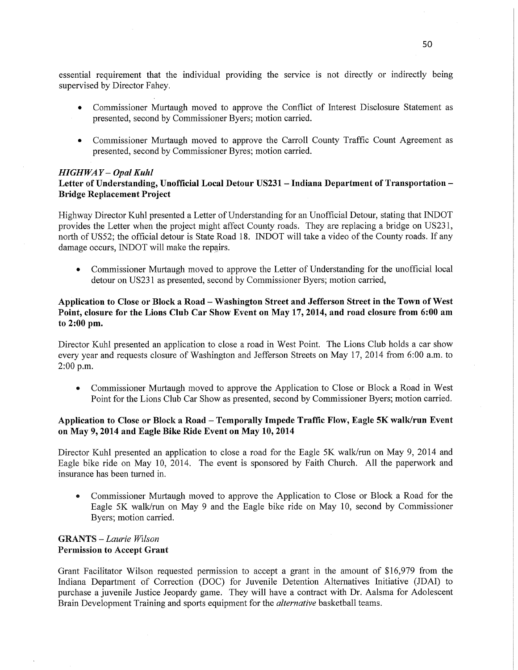essential requirement that the individual providing the service is not directly or indirectly being supervised by Director Fahey.

- **0** Commissioner Murtaugh moved to approve the Conflict of Interest Disclosure Statement as presented, second by Commissioner Byers; motion carried.
- **0** Commissioner Murtaugh moved to approve the Carroll County Traffic Count Agreement as presented, second by Commissioner Byres; motion carried.

#### *HIGH* WA *Y — Opal Kuhl*

# **Letter** of **Understanding,** Unofficial **Local Detour USZ31** *—* **Indiana Department** of **Transportation —** Bridge **Replacement Project**

Highway Director Kuhl presented a Letter of Understanding for an Unofficial Detour, stating that INDOT provides the Letter when the project might affect County roads. They are replacing a bridge on US231, north of U852; the official detour is State Road 18. INDOT will take a video of the County roads. If any damage occurs, INDOT will make the repairs.

**0** Commissioner Murtaugh moved to approve the Letter of Understanding for the unofficial local detour on USZ31 as presented, second by Commissioner Byers; motion carried,

# **Application** to **Close** or **Block a Road** *—* Washington **Street** and **Jefferson Street** in the **Town** of West Point, **closure** for the Lions Club Car **Show Event** on May 17, **2014,** and road **closure from 6:00** am to **2:00** pm.

Director Kuhl presented an application to close a road in West Point. The Lions Club holds a car show every year and requests closure of Washington and Jefferson Streets on May 17, 2014 from 6:00 **am.** to 2:00 **pm.** 

**0** Commissioner Murtaugh moved to approve the Application to Close or Block a Road in West Point for the Lions Club Car Show as presented, second by Commissioner Byers; motion carried.

# **Application** to Close or **Block a Road — Temporally Impede Traffic** Flow, **Eagle** 5K **walk/run Event**  on May 9, **2014** and **Eagle Bike Ride Event** on May 10, **2014**

Director Kuhl presented an application to close **a** road for the Eagle 5K walk/run on May 9, 2014 and Eagle bike ride on May 10, 2014. The event is sponsored by Faith Church. All the paperwork and insurance has been turned in.

**0** Commissioner Murtaugh moved to approve the Application to Close or Block a Road for the Eagle 5K walk/run on May 9 and the Eagle bike ride on May 10, second by Commissioner Byers; motion carried.

# **GRANTS** — *Laurie Wllson*  **Permission** to **Accept Grant**

Grant Facilitator Wilson requested permission to accept a grant in the amount of \$16,979 from the Indiana Department of Correction (DOC) for Juvenile Detention Alternatives Initiative (JDAI) to purchase a juvenile Justice Jeopardy game. They will have a contract with Dr. **Aalsma** for Adolescent Brain Development Training and sports equipment for the *alternative* basketball teams.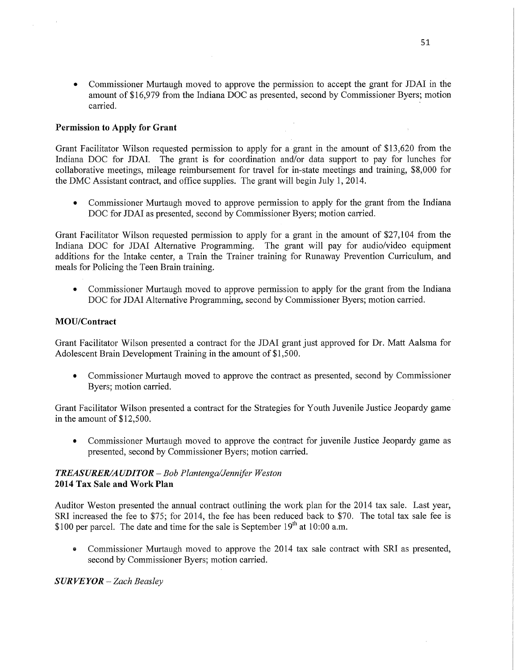**0** Commissioner Murtaugh moved to approve the permission to accept the grant for JDAI in the amount of \$16,979 from the Indiana DOC as presented, second by Commissioner Byers; motion carried. *Carried* 

# **Permission** to **Apply** for **Grant**

Grant Facilitator Wilson requested permission to apply for a grant in the amount of \$13,620 from the Indiana DOC for JDAI. The grant is for coordination and/or data support to pay for lunches for collaborative meetings, mileage reimbursement for travel for in—state meetings and training, \$8,000 for the DMC Assistant contract, and office supplies. The grant will begin July 1, 2014.

**0** Commissioner Murtaugh moved to approve permission to apply for the grant from the Indiana DOC for JDAI as presented, second by Commissioner Byers; motion carried.

Grant Facilitator Wilson requested permission to apply for a grant in the amount of \$27,104 from the Indiana DOC for JDAI Alternative Programming. The grant will pay for audio/Video equipment additions for the Intake center, a Train the Trainer training for Runaway Prevention Curriculum, and meals for Policing the Teen Brain training.

**0** Commissioner Murtaugh moved to approve permission to apply for the grant from the Indiana DOC for JDAI Alternative Programming, second by Commissioner Byers; motion carried.

# **MOU/Contract**

Grant Facilitator Wilson presented a contract for the JDAI grant just approved for Dr. Matt Aalsma for Adolescent Brain Development Training in the amount of \$1,500.

**0** Commissioner Murtaugh moved to approve the contract as presented, second by Commissioner Byers; motion carried.

Grant Facilitator Wilson presented a contract for the Strategies for Youth Juvenile Justice Jeopardy game. in the amount of \$12,500.

**0** Commissioner Murtaugh moved to approve the contract for juvenile Justice Jeopardy game as presented, second by Commissioner Byers; motion carried.

# *TREASURER/A* UDI TOR **—** Bob *Plantenga/Jenm'fer Weston*  **2014** Tax **Sale** and Work **Plan**

Auditor Weston presented the annual contract outlining the work plan for the 2014 tax sale. Last year, SR1 increased the fee to \$75; for 2014, the fee has been reduced back to \$70. The total tax sale fee is \$100 per parcel. The date and time for the sale is September 19<sup>th</sup> at 10:00 a.m.

**0** Commissioner Murtaugh moved to approve the 2014 tax sale contract with SR1 as presented, second by Commissioner Byers; motion carried.

*S* UR VE YOR -— *Zach Beasley*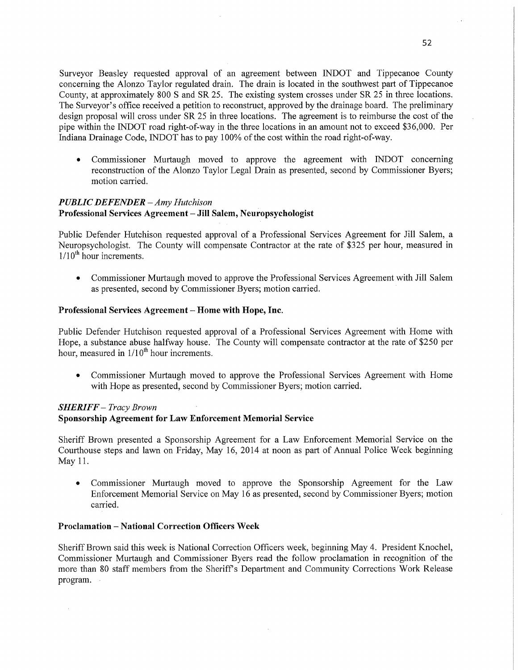Surveyor Beasley requested approval of an agreement between INDOT and Tippecanoe County concerning the Alonzo Taylor regulated drain. The drain is located in the southwest part of Tippecanoe County, at approximately 800 *S* and SR 25. The existing system crosses under SR 25 in three locations. The Surveyor's office received a petition to reconstruct, approved by the drainage board. The preliminary design proposal will cross under SR 25 in three locations. The agreement is to reimburse the cost of the pipe within the INDOT road right-of-way in the three locations in an amount not to exceed \$36,000. Per Indiana Drainage Code, INDOT has to pay 100% of the cost Within the road right-of—way.

**0** Commissioner Murtaugh moved to approve the agreement with INDOT concerning reconstruction of the Alonzo Taylor Legal Drain as presented, second by Commissioner Byers; motion carried.

# *PUBLIC DEFENDER* — Amy *Hutchison \_* **Professional Services Agreement** *—* Jill **Salem, Neuropsychologist**

Public Defender Hutchison requested approval of **a** Professional Services Agreement for Jill Salem, a Neuropsychologist. The County will compensate Contractor at the rate of \$325 per hour, measured in  $1/10^{th}$  hour increments.

*0* Commissioner Murtaugh moved to approve the Professional Services Agreement with Jill Salem as presented, second by Commissioner Byers; motion carried. '

### Professional **Services Agreement** *-* Home with **Hope,** Inc.

Public Defender Hutchison requested approval of a Professional Services Agreement with Home with Hope, a substance abuse halfway house. The County will compensate contractor at the rate of \$250 per hour, measured in  $1/10^{th}$  hour increments.

**0** Commissioner Murtaugh moved to approve the Professional Services Agreement with Home with Hope as presented, second by Commissioner Byers; motion carried.

# *SHERIFF* — *Tracy Brown*

### Sponsorship **Agreement** for Law **Enforcement Memorial Service**

Sheriff Brown presented a Sponsorship Agreement for a Law Enforcement Memorial Service on the Courthouse steps and lawn on Friday, May 16, 2014 at noon as part of Annual Police Week beginning May 11.

**0** Commissioner Murtaugh moved to approve the Sponsorship Agreement for the Law Enforcement Memorial Service on May 16 as presented, second by Commissioner Byers; motion carried.

# **Proclamation** *—* National **Correction Officers** Week

Sheriff Brown said this week is National Correction Officers week, beginning May 4. President Knochel, Commissioner Murtaugh and Commissioner Byers read the follow proclamation in recognition of the more than 80 staff members from the Sheriff's Department and Community Corrections Work Release program.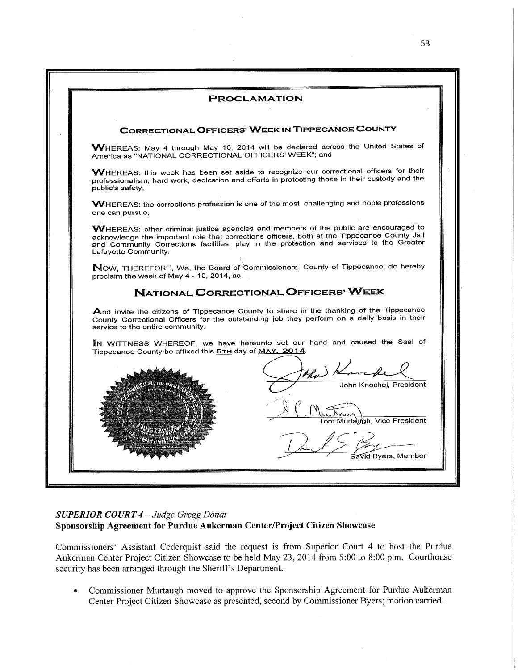

# *SUPERIOR COURT 4* **—** *Judge Gregg Donat '*  **Sponsorship Agreement** for **Purdue Aukerman Center/Project Citizen Showcase**

Commissioners' Assistant Cederquist said the request is from Superior Court 4 to host the Purdue Aukerman Center Project Citizen Showcase to be held May 23, 2014 from 5:00 to 8:00 p.m. Courthouse security has been arranged through the Sheriff's Department.

**0** Commissioner Murtaugh moved to approve the Sponsorship Agreement for Purdue Aukerman Center Project Citizen Showcase as presented, second by Commissioner Byers; motion carried.

53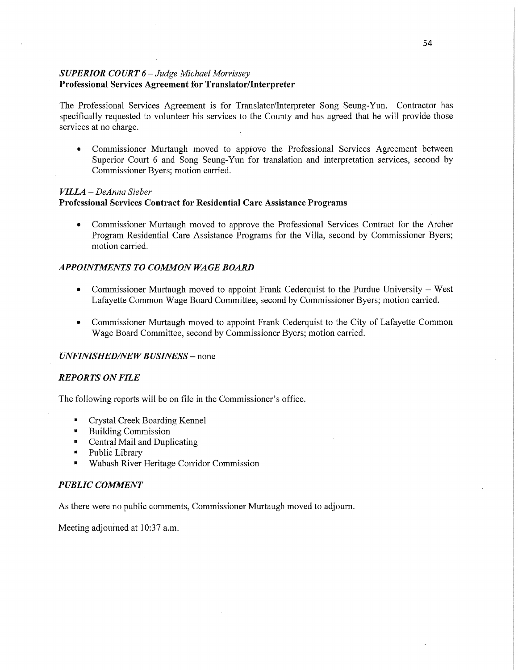# *SUPERIOR COURT 6* — *Judge Alichael Morrissey*  **Professional Services Agreement** for **Translator/Interpreter**

The Professional Services Agreement is for Translator/Interpreter Song Seung—Yun. Contractor has specifically requested to volunteer his services to the County and has agreed that he will provide those services at no charge.

**0** Commissioner Murtaugh moved to approve the Professional Services Agreement between Superior Court 6 and Song Seung—Yun for translation and interpretation services, second by Commissioner Byers; motion carried.

### *VILLA* — *DeAnna Sieber*

## **Professional Services Contract** for **Residential Care Assistance Programs**

*0* Commissioner Murtaugh moved to approve the Professional Services Contract for the Archer Program Residential Care Assistance Programs for the Villa, second by Commissioner Byers; motion carried.

# *APPOINTMENTS* T0 *COMMON* WA GE *BOARD*

- **0** Commissioner Murtaugh moved to appoint Frank Cederquist to the Purdue University West Lafayette Common Wage Board Committee, second by Commissioner Byers; motion carried.
- **0** Commissioner Murtaugh moved to appoint Frank Cederquist to the City of Lafayette Common Wage Board Committee, second by Commissioner Byers; motion carried.

### *UNFINISHED/NEW BUSINESS* – none

### *REPORTS* ON *FILE*

The following reports will be on file in the Commissioner's office.

- Crystal Creek Boarding Kennel  $\blacksquare$
- Building Commission  $\blacksquare$
- Central Mail and Duplicating  $\blacksquare$
- Public Library  $\mathbf{R}^{\text{max}}$
- Wabash River Heritage Corridor Commission

### *PUBLIC COMMENT*

As there were no public comments, Commissioner Murtaugh moved to adjourn.

Meeting adjourned at 10:37 a.m.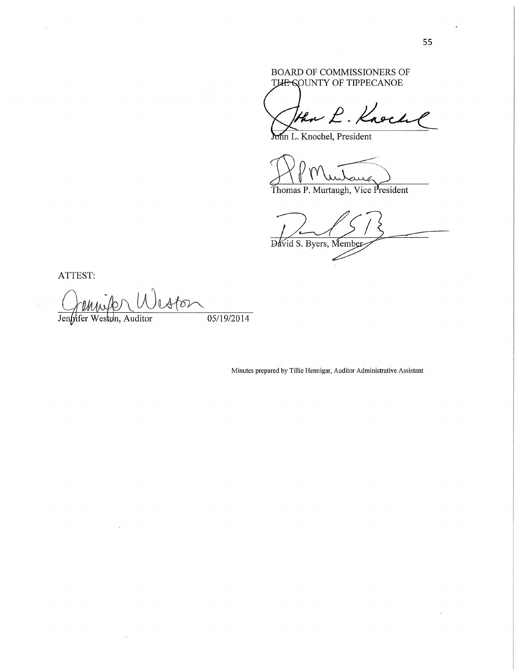# BOARD OF COMMISSIONERS OF THE SOUNTY OF TIPPECANOE

Then L. Knoch

Mn L. Knochel, President

KMW undang

Thomas P. Murtaugh, **Vice** President

71/)? *f*  Dávid S. Byers, Member

**ATTEST:** 

 $\bar{z}$ 

*<sup>~</sup>*QWUOW

Jennifer Weston, Auditor 05/19/2014

Minutes prepared by Tillie Hennigar, Auditor Administrative Assistant